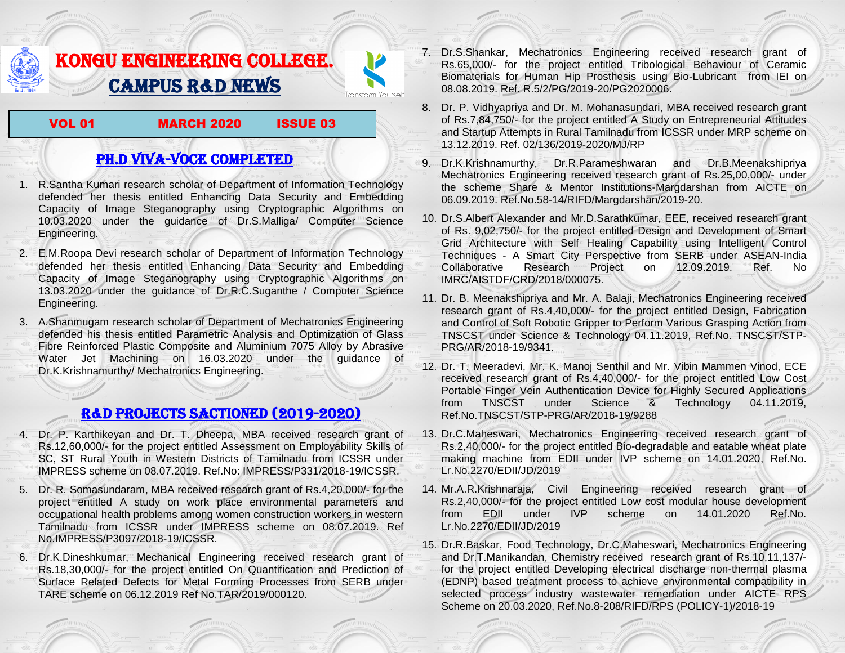## KONGU ENGINEERING COLLEGE. CAMPUS R&D NEWS

VOL 01 MARCH 2020 ISSUE 03

Fransform Yourself

## PH.D VIVA-VOCE COMPLETED

- 1. R.Santha Kumari research scholar of Department of Information Technology defended her thesis entitled Enhancing Data Security and Embedding Capacity of Image Steganography using Cryptographic Algorithms on 10.03.2020 under the guidance of Dr.S.Malliga/ Computer Science Engineering.
- 2. E.M.Roopa Devi research scholar of Department of Information Technology defended her thesis entitled Enhancing Data Security and Embedding Capacity of Image Steganography using Cryptographic Algorithms on 13.03.2020 under the guidance of Dr.R.C.Suganthe / Computer Science Engineering.
- 3. A.Shanmugam research scholar of Department of Mechatronics Engineering defended his thesis entitled Parametric Analysis and Optimization of Glass Fibre Reinforced Plastic Composite and Aluminium 7075 Alloy by Abrasive Water Jet Machining on 16.03.2020 under the guidance of Dr.K.Krishnamurthy/ Mechatronics Engineering.

## R&D PROJECTS SACTIONED (2019-2020)

- 4. Dr. P. Karthikeyan and Dr. T. Dheepa, MBA received research grant of Rs.12,60,000/- for the project entitled Assessment on Employability Skills of SC, ST Rural Youth in Western Districts of Tamilnadu from ICSSR under IMPRESS scheme on 08.07.2019. Ref.No: IMPRESS/P331/2018-19/ICSSR.
- 5. Dr. R. Somasundaram, MBA received research grant of Rs.4,20,000/- for the project entitled A study on work place environmental parameters and occupational health problems among women construction workers in western Tamilnadu from ICSSR under IMPRESS scheme on 08.07.2019. Ref No.IMPRESS/P3097/2018-19/ICSSR.
- 6. Dr.K.Dineshkumar, Mechanical Engineering received research grant of Rs.18,30,000/- for the project entitled On Quantification and Prediction of Surface Related Defects for Metal Forming Processes from SERB under TARE scheme on 06.12.2019 Ref No.TAR/2019/000120.
- 7. Dr.S.Shankar, Mechatronics Engineering received research grant of Rs.65,000/- for the project entitled Tribological Behaviour of Ceramic Biomaterials for Human Hip Prosthesis using Bio-Lubricant from IEI on 08.08.2019. Ref. R.5/2/PG/2019-20/PG2020006.
- 8. Dr. P. Vidhyapriya and Dr. M. Mohanasundari, MBA received research grant of Rs.7,84,750/- for the project entitled A Study on Entrepreneurial Attitudes and Startup Attempts in Rural Tamilnadu from ICSSR under MRP scheme on 13.12.2019. Ref. 02/136/2019-2020/MJ/RP
- 9. Dr.K.Krishnamurthy, Dr.R.Parameshwaran and Dr.B.Meenakshipriya Mechatronics Engineering received research grant of Rs.25,00,000/- under the scheme Share & Mentor Institutions-Margdarshan from AICTE on 06.09.2019. Ref.No.58-14/RIFD/Margdarshan/2019-20.
- 10. Dr.S.Albert Alexander and Mr.D.Sarathkumar, EEE, received research grant of Rs. 9,02,750/- for the project entitled Design and Development of Smart Grid Architecture with Self Healing Capability using Intelligent Control Techniques - A Smart City Perspective from SERB under ASEAN-India Collaborative Research Project on 12.09.2019. Ref. No IMRC/AISTDF/CRD/2018/000075.
- 11. Dr. B. Meenakshipriya and Mr. A. Balaji, Mechatronics Engineering received research grant of Rs.4,40,000/- for the project entitled Design, Fabrication and Control of Soft Robotic Gripper to Perform Various Grasping Action from TNSCST under Science & Technology 04.11.2019, Ref.No. TNSCST/STP-PRG/AR/2018-19/9341.
- 12. Dr. T. Meeradevi, Mr. K. Manoj Senthil and Mr. Vibin Mammen Vinod, ECE received research grant of Rs.4,40,000/- for the project entitled Low Cost Portable Finger Vein Authentication Device for Highly Secured Applications from TNSCST under Science & Technology 04.11.2019, Ref.No.TNSCST/STP-PRG/AR/2018-19/9288
- 13. Dr.C.Maheswari, Mechatronics Engineering received research grant of Rs.2,40,000/- for the project entitled Bio-degradable and eatable wheat plate making machine from EDII under IVP scheme on 14.01.2020, Ref.No. Lr.No.2270/EDII/JD/2019
- 14. Mr.A.R.Krishnaraja, Civil Engineering received research grant of Rs.2,40,000/- for the project entitled Low cost modular house development from EDII under IVP scheme on 14.01.2020 Ref.No. Lr.No.2270/EDII/JD/2019
- 15. Dr.R.Baskar, Food Technology, Dr.C.Maheswari, Mechatronics Engineering and Dr.T.Manikandan, Chemistry received research grant of Rs.10,11,137/ for the project entitled Developing electrical discharge non-thermal plasma (EDNP) based treatment process to achieve environmental compatibility in selected process industry wastewater remediation under AICTE RPS Scheme on 20.03.2020, Ref.No.8-208/RIFD/RPS (POLICY-1)/2018-19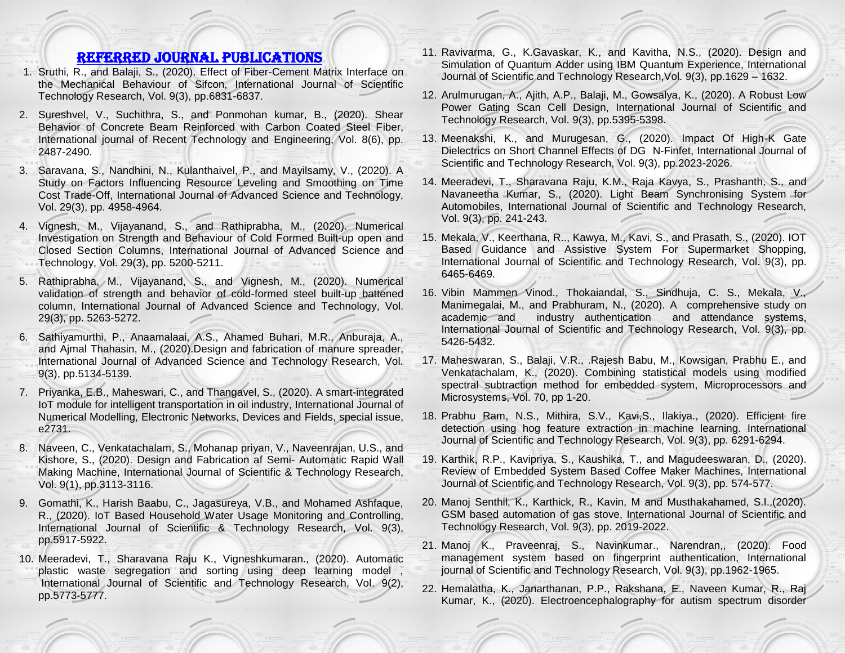## Referred JOURNAL publications

- 1. Sruthi, R., and Balaji, S., (2020). Effect of Fiber-Cement Matrix Interface on the Mechanical Behaviour of Sifcon, International Journal of Scientific Technology Research, Vol. 9(3), pp.6831-6837.
- 2. Sureshvel, V., Suchithra, S., and Ponmohan kumar, B., (2020). Shear Behavior of Concrete Beam Reinforced with Carbon Coated Steel Fiber, International journal of Recent Technology and Engineering, Vol. 8(6), pp. 2487-2490.
- 3. Saravana, S., Nandhini, N., Kulanthaivel, P., and Mayilsamy, V., (2020). A Study on Factors Influencing Resource Leveling and Smoothing on Time Cost Trade-Off, International Journal of Advanced Science and Technology, Vol. 29(3), pp. 4958-4964.
- 4. Vignesh, M., Vijayanand, S., and Rathiprabha, M., (2020). Numerical Investigation on Strength and Behaviour of Cold Formed Built-up open and Closed Section Columns, International Journal of Advanced Science and Technology, Vol. 29(3), pp. 5200-5211.
- 5. Rathiprabha, M., Vijayanand, S., and Vignesh, M., (2020). Numerical validation of strength and behavior of cold-formed steel built-up battened column, International Journal of Advanced Science and Technology, Vol. 29(3), pp. 5263-5272.
- 6. Sathiyamurthi, P., Anaamalaai, A.S., Ahamed Buhari, M.R., Anburaja, A., and Ajmal Thahasin, M., (2020).Design and fabrication of manure spreader, International Journal of Advanced Science and Technology Research, Vol. 9(3), pp.5134-5139.
- 7. Priyanka, E.B., Maheswari, C., and Thangavel, S., (2020). [A smart-integrated](J18_III.pdf)  [IoT module for intelligent transportation in oil industry,](J18_III.pdf) International Journal of Numerical Modelling, Electronic Networks, Devices and Fields, special issue, e2731.
- 8. Naveen, C., Venkatachalam, S., Mohanap priyan, V., Naveenrajan, U.S., and Kishore, S., (2020). [Design and Fabrication af Semi-](J206_ijstr.pdf) Automatic Rapid Wall [Making Machine,](J206_ijstr.pdf) International Journal of Scientific & Technology Research, Vol. 9(1), pp.3113-3116.
- 9. Gomathi, K., Harish Baabu, C., Jagasureya, V.B., and Mohamed Ashfaque, R., (2020). [IoT Based Household Water Usage Monitoring and Controlling,](J244_IJSTR.pdf) International Journal of Scientific & Technology Research, Vol. 9(3), pp.5917-5922.
- 10. Meeradevi, T., Sharavana Raju K., Vigneshkumaran., (2020). Automatic plastic waste segregation and sorting using deep learning model , International Journal of Scientific and Technology Research, Vol. 9(2), pp.5773-5777.
- 11. Ravivarma, G., K.Gavaskar, K., and Kavitha, N.S., (2020). Design and Simulation of Quantum Adder using IBM Quantum Experience, International Journal of Scientific and Technology Research,Vol. 9(3), pp.1629 – 1632.
- 12. Arulmurugan, A., Ajith, A.P., Balaji, M., Gowsalya, K., (2020). A Robust Low Power Gating Scan Cell Design, International Journal of Scientific and Technology Research, Vol. 9(3), pp.5395-5398.
- 13. Meenakshi, K., and Murugesan, G., (2020). Impact Of High-K Gate Dielectrics on Short Channel Effects of DG N-Finfet, International Journal of Scientific and Technology Research, Vol. 9(3), pp.2023-2026.
- 14. Meeradevi, T., Sharavana Raju, K.M., Raja Kavya, S., Prashanth, S., and Navaneetha Kumar, S., (2020). Light Beam Synchronising System for Automobiles, International Journal of Scientific and Technology Research, Vol. 9(3), pp. 241-243.
- 15. Mekala, V., Keerthana, R.., Kawya, M., Kavi, S., and Prasath, S., (2020). IOT Based Guidance and Assistive System For Supermarket Shopping, International Journal of Scientific and Technology Research, Vol. 9(3), pp. 6465-6469.
- 16. Vibin Mammen Vinod., Thokaiandal, S., Sindhuja, C. S., Mekala, V., Manimegalai, M., and Prabhuram, N., (2020). A comprehensive study on academic and industry authentication and attendance systems, International Journal of Scientific and Technology Research, Vol. 9(3), pp. 5426-5432.
- 17. Maheswaran, S., Balaji, V.R., .Rajesh Babu, M., Kowsigan, Prabhu E., and Venkatachalam, K., (2020). Combining statistical models using modified spectral subtraction method for embedded system, Microprocessors and Microsystems, Vol. 70, pp 1-20.
- 18. Prabhu Ram, N.S., Mithira, S.V., Kavi,S., Ilakiya., (2020). Efficient fire detection using hog feature extraction in machine learning. International Journal of Scientific and Technology Research, Vol. 9(3), pp. 6291-6294.
- 19. Karthik, R.P., Kavipriya, S., Kaushika, T., and Magudeeswaran, D., (2020). Review of Embedded System Based Coffee Maker Machines, International Journal of Scientific and Technology Research, Vol. 9(3), pp. 574-577.
- 20. Manoj Senthil, K., Karthick, R., Kavin, M and Musthakahamed, S.I.,(2020). GSM based automation of gas stove, International Journal of Scientific and Technology Research, Vol. 9(3), pp. 2019-2022.
- 21. Manoj K., Praveenraj, S., Navinkumar., Narendran,, (2020). Food management system based on fingerprint authentication, International journal of Scientific and Technology Research, Vol. 9(3), pp.1962-1965.
- 22. Hemalatha, K., Janarthanan, P.P., Rakshana, E., Naveen Kumar, R., Raj Kumar, K., (2020). Electroencephalography for autism spectrum disorder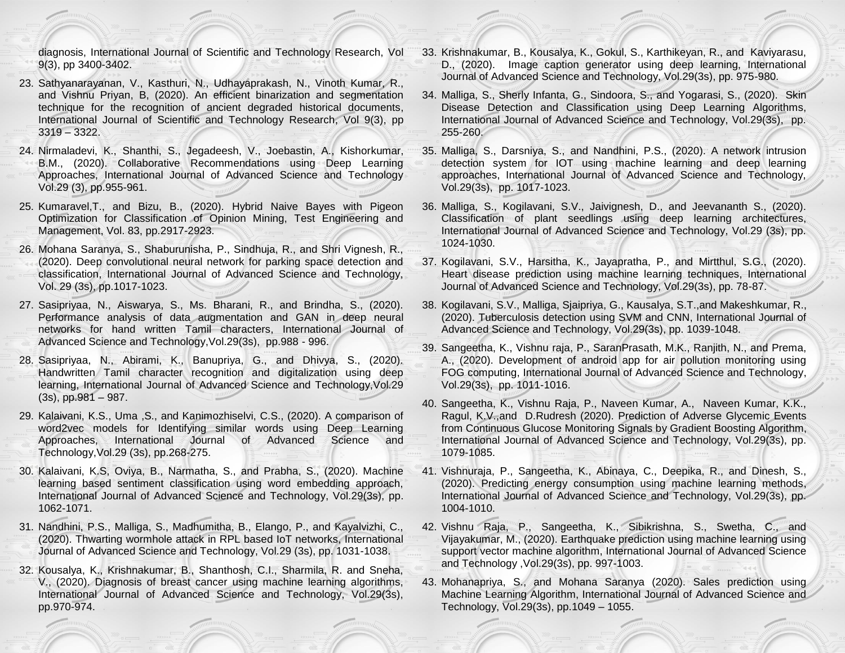diagnosis, International Journal of Scientific and Technology Research, Vol 9(3), pp 3400-3402.

- 23. Sathyanarayanan, V., Kasthuri, N., Udhayaprakash, N., Vinoth Kumar, R., and Vishnu Priyan, B, (2020). An efficient binarization and segmentation technique for the recognition of ancient degraded historical documents, International Journal of Scientific and Technology Research, Vol 9(3), pp 3319 – 3322.
- 24. Nirmaladevi, K., Shanthi, S., Jegadeesh, V., Joebastin, A., Kishorkumar, B.M., (2020). Collaborative Recommendations using Deep Learning Approaches, International Journal of Advanced Science and Technology Vol.29 (3), pp.955-961.
- 25. Kumaravel,T., and Bizu, B., (2020). Hybrid Naive Bayes with Pigeon Optimization for Classification of Opinion Mining, Test Engineering and Management, Vol. 83, pp.2917-2923.
- 26. Mohana Saranya, S., Shaburunisha, P., Sindhuja, R., and Shri Vignesh, R., (2020). Deep convolutional neural network for parking space detection and classification, International Journal of Advanced Science and Technology, Vol. 29 (3s), pp.1017-1023.
- 27. Sasipriyaa, N., Aiswarya, S., Ms. Bharani, R., and Brindha, S., (2020). Performance analysis of data augmentation and GAN in deep neural networks for hand written Tamil characters, International Journal of Advanced Science and Technology,Vol.29(3s), pp.988 - 996.
- 28. Sasipriyaa, N., Abirami, K., Banupriya, G., and Dhivya, S., (2020). Handwritten Tamil character recognition and digitalization using deep learning, International Journal of Advanced Science and Technology,Vol.29 (3s), pp.981 – 987.
- 29. Kalaivani, K.S., Uma ,S., and Kanimozhiselvi, C.S., (2020). A comparison of word2vec models for Identifying similar words using Deep Learning Approaches, International Journal of Advanced Science and Technology,Vol.29 (3s), pp.268-275.
- 30. Kalaivani, K.S, Oviya, B., Narmatha, S., and Prabha, S., (2020). Machine learning based sentiment classification using word embedding approach, International Journal of Advanced Science and Technology, Vol.29(3s), pp. 1062-1071.
- 31. Nandhini, P.S., Malliga, S., Madhumitha, B., Elango, P., and Kayalvizhi, C., (2020). Thwarting wormhole attack in RPL based IoT networks, International Journal of Advanced Science and Technology, Vol.29 (3s), pp. 1031-1038.
- 32. Kousalya, K., Krishnakumar, B., Shanthosh, C.I., Sharmila, R. and Sneha, V., (2020). Diagnosis of breast cancer using machine learning algorithms, International Journal of Advanced Science and Technology, Vol.29(3s), pp.970-974.
- 33. Krishnakumar, B., Kousalya, K., Gokul, S., Karthikeyan, R., and Kaviyarasu, D., (2020). Image caption generator using deep learning, International Journal of Advanced Science and Technology, Vol.29(3s), pp. 975-980.
- 34. Malliga, S., Sherly Infanta, G., Sindoora, S., and Yogarasi, S., (2020). Skin Disease Detection and Classification using Deep Learning Algorithms, International Journal of Advanced Science and Technology, Vol.29(3s), pp. 255-260.
- 35. Malliga, S., Darsniya, S., and Nandhini, P.S., (2020). A network intrusion detection system for IOT using machine learning and deep learning approaches, International Journal of Advanced Science and Technology, Vol.29(3s), pp. 1017-1023.
- 36. Malliga, S., Kogilavani, S.V., Jaivignesh, D., and Jeevananth S., (2020). Classification of plant seedlings using deep learning architectures, International Journal of Advanced Science and Technology, Vol.29 (3s), pp. 1024-1030.
- 37. Kogilavani, S.V., Harsitha, K., Jayapratha, P., and Mirtthul, S.G., (2020). Heart disease prediction using machine learning techniques, International Journal of Advanced Science and Technology, Vol.29(3s), pp. 78-87.
- 38. Kogilavani, S.V., Malliga, Sjaipriya, G., Kausalya, S.T.,and Makeshkumar, R., (2020). Tuberculosis detection using SVM and CNN, International Journal of Advanced Science and Technology, Vol.29(3s), pp. 1039-1048.
- 39. Sangeetha, K., Vishnu raja, P., SaranPrasath, M.K., Ranjith, N., and Prema, A., (2020). Development of android app for air pollution monitoring using FOG computing, International Journal of Advanced Science and Technology, Vol.29(3s), pp. 1011-1016.
- 40. Sangeetha, K., Vishnu Raja, P., Naveen Kumar, A., Naveen Kumar, K.K., Ragul, K.V.,and D.Rudresh (2020). Prediction of Adverse Glycemic Events from Continuous Glucose Monitoring Signals by Gradient Boosting Algorithm, International Journal of Advanced Science and Technology, Vol.29(3s), pp. 1079-1085.
- 41. Vishnuraja, P., Sangeetha, K., Abinaya, C., Deepika, R., and Dinesh, S., (2020). Predicting energy consumption using machine learning methods, International Journal of Advanced Science and Technology, Vol.29(3s), pp. 1004-1010.
- 42. Vishnu Raja, P., Sangeetha, K., Sibikrishna, S., Swetha, C., and Vijayakumar, M., (2020). Earthquake prediction using machine learning using support vector machine algorithm, International Journal of Advanced Science and Technology ,Vol.29(3s), pp. 997-1003.
- 43. Mohanapriya, S., and Mohana Saranya (2020). Sales prediction using Machine Learning Algorithm, International Journal of Advanced Science and Technology, Vol.29(3s), pp.1049 – 1055.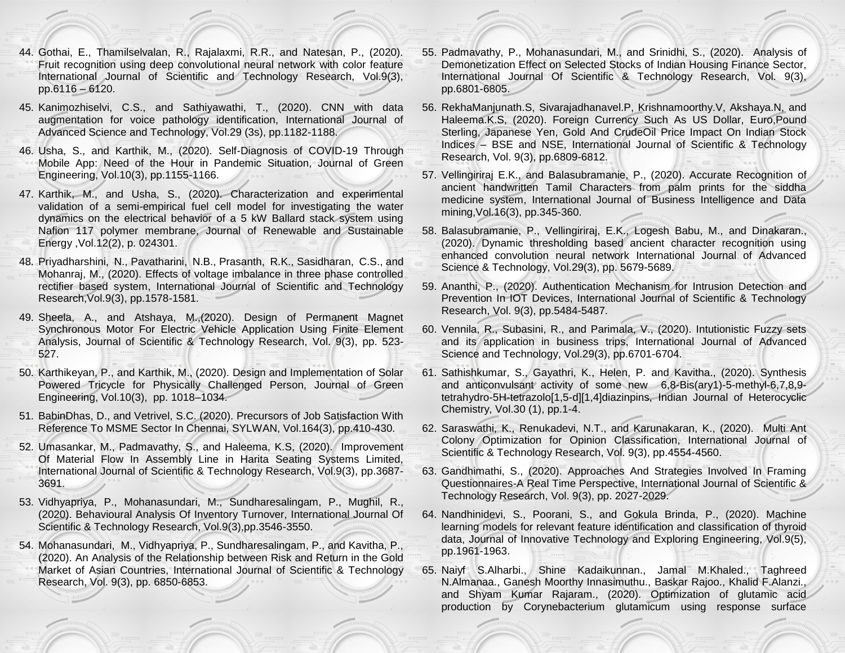- 44. Gothai, E., Thamilselvalan, R., Rajalaxmi, R.R., and Natesan, P., (2020). Fruit recognition using deep convolutional neural network with color feature International Journal of Scientific and Technology Research, Vol.9(3), pp.6116 – 6120.
- 45. Kanimozhiselvi, C.S., and Sathiyawathi, T., (2020). CNN with data augmentation for voice pathology identification, International Journal of Advanced Science and Technology, Vol.29 (3s), pp.1182-1188.
- 46. Usha, S., and Karthik, M., (2020). Self-Diagnosis of COVID-19 Through Mobile App: Need of the Hour in Pandemic Situation, Journal of Green Engineering, Vol.10(3), pp.1155-1166.
- 47. Karthik, M., and Usha, S., (2020). Characterization and experimental validation of a semi-empirical fuel cell model for investigating the water dynamics on the electrical behavior of a 5 kW Ballard stack system using Nafion 117 polymer membrane, Journal of Renewable and Sustainable Energy ,Vol.12(2), p. 024301.
- 48. Priyadharshini, N., Pavatharini, N.B., Prasanth, R.K., Sasidharan, C.S., and Mohanraj, M., (2020). Effects of voltage imbalance in three phase controlled rectifier based system, International Journal of Scientific and Technology Research,Vol.9(3), pp.1578-1581.
- 49. Sheela, A., and Atshaya, M.,(2020). Design of Permanent Magnet Synchronous Motor For Electric Vehicle Application Using Finite Element Analysis, Journal of Scientific & Technology Research, Vol. 9(3), pp. 523- 527.
- 50. Karthikeyan, P., and Karthik, M., (2020). Design and Implementation of Solar Powered Tricycle for Physically Challenged Person, Journal of Green Engineering, Vol.10(3), pp. 1018–1034.
- 51. BabinDhas, D., and Vetrivel, S.C. (2020). Precursors of Job Satisfaction With Reference To MSME Sector In Chennai, SYLWAN, Vol.164(3), pp.410-430.
- 52. Umasankar, M., Padmavathy, S., and Haleema, K.S, (2020). Improvement Of Material Flow In Assembly Line in Harita Seating Systems Limited, International Journal of Scientific & Technology Research, Vol.9(3), pp.3687- 3691.
- 53. Vidhyapriya, P., Mohanasundari, M., Sundharesalingam, P., Mughil, R., (2020). Behavioural Analysis Of Inventory Turnover, International Journal Of Scientific & Technology Research, Vol.9(3),pp.3546-3550.
- 54. Mohanasundari, M., Vidhyapriya, P., Sundharesalingam, P., and Kavitha, P., (2020). An Analysis of the Relationship between Risk and Return in the Gold Market of Asian Countries, International Journal of Scientific & Technology Research, Vol. 9(3), pp. 6850-6853.
- 55. Padmavathy, P., Mohanasundari, M., and Srinidhi, S., (2020). Analysis of Demonetization Effect on Selected Stocks of Indian Housing Finance Sector, International Journal Of Scientific & Technology Research, Vol. 9(3), pp.6801-6805.
- 56. RekhaManjunath.S, Sivarajadhanavel.P, Krishnamoorthy.V, Akshaya.N, and Haleema.K.S, (2020). Foreign Currency Such As US Dollar, Euro,Pound Sterling, Japanese Yen, Gold And CrudeOil Price Impact On Indian Stock Indices – BSE and NSE, International Journal of Scientific & Technology Research, Vol. 9(3), pp.6809-6812.
- 57. Vellingiriraj E.K., and Balasubramanie, P., (2020). Accurate Recognition of ancient handwritten Tamil Characters from palm prints for the siddha medicine system, International Journal of Business Intelligence and Data mining,Vol.16(3), pp.345-360.
- 58. Balasubramanie, P., Vellingiriraj, E.K., Logesh Babu, M., and Dinakaran., (2020). Dynamic thresholding based ancient character recognition using enhanced convolution neural network International Journal of Advanced Science & Technology, Vol.29(3), pp. 5679-5689.
- 59. Ananthi, P., (2020). Authentication Mechanism for Intrusion Detection and Prevention In IOT Devices, International Journal of Scientific & Technology Research, Vol. 9(3), pp.5484-5487.
- 60. Vennila, R., Subasini, R., and Parimala, V., (2020). Intutionistic Fuzzy sets and its application in business trips, International Journal of Advanced Science and Technology, Vol.29(3), pp.6701-6704.
- 61. Sathishkumar, S., Gayathri, K., Helen, P. and Kavitha., (2020). Synthesis and anticonvulsant activity of some new 6,8-Bis(ary1)-5-methyl-6,7,8,9 tetrahydro-5H-tetrazolo[1,5-d][1,4]diazinpins, Indian Journal of Heterocyclic Chemistry, Vol.30 (1), pp.1-4.
- 62. Saraswathi, K., Renukadevi, N.T., and Karunakaran, K., (2020). Multi Ant Colony Optimization for Opinion Classification, International Journal of Scientific & Technology Research, Vol. 9(3), pp.4554-4560.
- 63. Gandhimathi, S., (2020). Approaches And Strategies Involved In Framing Questionnaires-A Real Time Perspective, International Journal of Scientific & Technology Research, Vol. 9(3), pp. 2027-2029.
- 64. Nandhinidevi, S., Poorani, S., and Gokula Brinda, P., (2020). Machine learning models for relevant feature identification and classification of thyroid data, Journal of Innovative Technology and Exploring Engineering, Vol.9(5), pp.1961-1963.
- 65. [Naiyf S.Alharbi., S](https://www.sciencedirect.com/science/article/pii/S1018364719318440#!)hine [Kadaikunnan., Jamal M.Khaled., Taghreed](https://www.sciencedirect.com/science/article/pii/S1018364719318440#!)  N.Almanaa., [Ganesh Moorthy](https://www.sciencedirect.com/science/article/pii/S1018364719318440#!) Innasimuthu., [Baskar](https://www.sciencedirect.com/science/article/pii/S1018364719318440#!) Rajoo., [Khalid F.Alanzi.,](https://www.sciencedirect.com/science/article/pii/S1018364719318440#!) and [Shyam Kumar](https://www.sciencedirect.com/science/article/pii/S1018364719318440#!) Rajaram., (2020). Optimization of glutamic acid production by Corynebacterium glutamicum using response surface